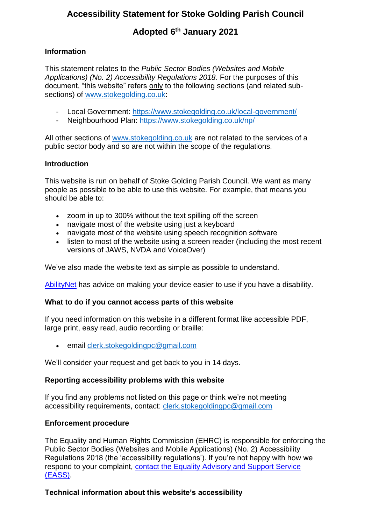# **Accessibility Statement for Stoke Golding Parish Council**

# **Adopted 6 th January 2021**

### **Information**

This statement relates to the *Public Sector Bodies (Websites and Mobile Applications) (No. 2) Accessibility Regulations 2018*. For the purposes of this document, "this website" refers only to the following sections (and related subsections) of [www.stokegolding.co.uk:](http://www.stokegolding.co.uk/)

- Local Government:<https://www.stokegolding.co.uk/local-government/>
- Neighbourhood Plan:<https://www.stokegolding.co.uk/np/>

All other sections of [www.stokegolding.co.uk](http://www.stokegolding.co.uk/) are not related to the services of a public sector body and so are not within the scope of the regulations.

### **Introduction**

This website is run on behalf of Stoke Golding Parish Council. We want as many people as possible to be able to use this website. For example, that means you should be able to:

- zoom in up to 300% without the text spilling off the screen
- navigate most of the website using just a keyboard
- navigate most of the website using speech recognition software
- listen to most of the website using a screen reader (including the most recent versions of JAWS, NVDA and VoiceOver)

We've also made the website text as simple as possible to understand.

[AbilityNet](https://mcmw.abilitynet.org.uk/) has advice on making your device easier to use if you have a disability.

#### **What to do if you cannot access parts of this website**

If you need information on this website in a different format like accessible PDF, large print, easy read, audio recording or braille:

• email [clerk.stokegoldingpc@gmail.com](mailto:clerk.stokegoldingpc@gmail.com)

We'll consider your request and get back to you in 14 days.

#### **Reporting accessibility problems with this website**

If you find any problems not listed on this page or think we're not meeting accessibility requirements, contact: [clerk.stokegoldingpc@gmail.com](mailto:clerk.stokegoldingpc@gmail.com)

#### **Enforcement procedure**

The Equality and Human Rights Commission (EHRC) is responsible for enforcing the Public Sector Bodies (Websites and Mobile Applications) (No. 2) Accessibility Regulations 2018 (the 'accessibility regulations'). If you're not happy with how we respond to your complaint, [contact the Equality Advisory and Support Service](https://www.equalityadvisoryservice.com/)  [\(EASS\).](https://www.equalityadvisoryservice.com/)

## **Technical information about this website's accessibility**